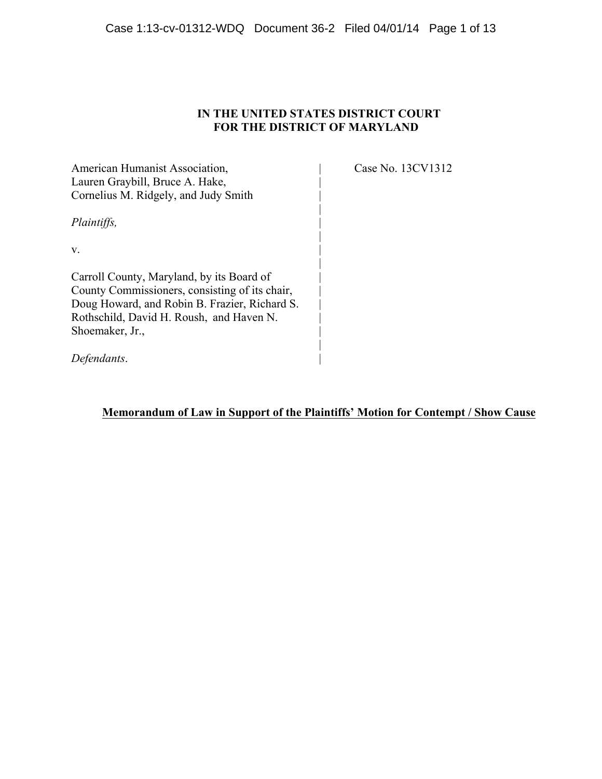## **IN THE UNITED STATES DISTRICT COURT FOR THE DISTRICT OF MARYLAND**

| American Humanist Association,                                                                  |  |
|-------------------------------------------------------------------------------------------------|--|
| Lauren Graybill, Bruce A. Hake,                                                                 |  |
| Cornelius M. Ridgely, and Judy Smith                                                            |  |
| Plaintiffs,                                                                                     |  |
| V.                                                                                              |  |
| Carroll County, Maryland, by its Board of                                                       |  |
| County Commissioners, consisting of its chair,<br>Doug Howard, and Robin B. Frazier, Richard S. |  |
| Rothschild, David H. Roush, and Haven N.                                                        |  |
| Shoemaker, Jr.,                                                                                 |  |
| Defendants.                                                                                     |  |

Case No. 13CV1312

**Memorandum of Law in Support of the Plaintiffs' Motion for Contempt / Show Cause**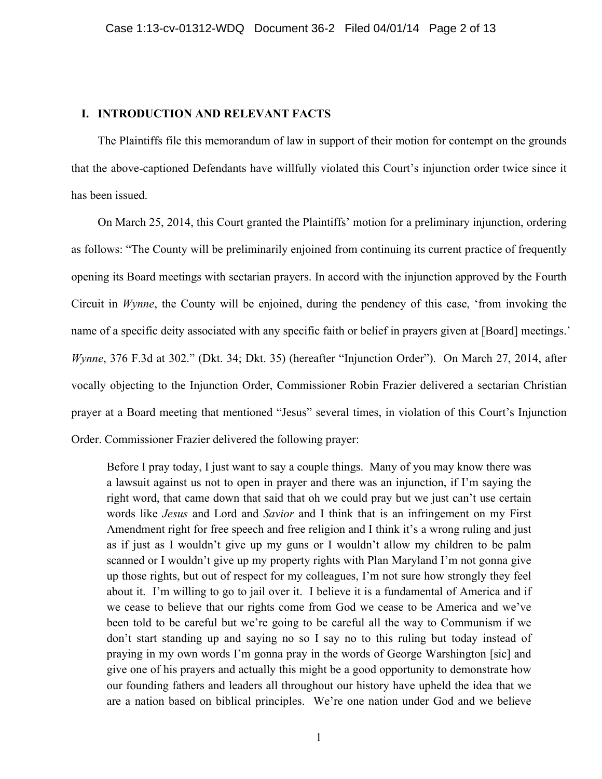### **I. INTRODUCTION AND RELEVANT FACTS**

The Plaintiffs file this memorandum of law in support of their motion for contempt on the grounds that the above-captioned Defendants have willfully violated this Court's injunction order twice since it has been issued.

On March 25, 2014, this Court granted the Plaintiffs' motion for a preliminary injunction, ordering as follows: "The County will be preliminarily enjoined from continuing its current practice of frequently opening its Board meetings with sectarian prayers. In accord with the injunction approved by the Fourth Circuit in *Wynne*, the County will be enjoined, during the pendency of this case, 'from invoking the name of a specific deity associated with any specific faith or belief in prayers given at [Board] meetings.' *Wynne*, 376 F.3d at 302." (Dkt. 34; Dkt. 35) (hereafter "Injunction Order"). On March 27, 2014, after vocally objecting to the Injunction Order, Commissioner Robin Frazier delivered a sectarian Christian prayer at a Board meeting that mentioned "Jesus" several times, in violation of this Court's Injunction Order. Commissioner Frazier delivered the following prayer:

Before I pray today, I just want to say a couple things. Many of you may know there was a lawsuit against us not to open in prayer and there was an injunction, if I'm saying the right word, that came down that said that oh we could pray but we just can't use certain words like *Jesus* and Lord and *Savior* and I think that is an infringement on my First Amendment right for free speech and free religion and I think it's a wrong ruling and just as if just as I wouldn't give up my guns or I wouldn't allow my children to be palm scanned or I wouldn't give up my property rights with Plan Maryland I'm not gonna give up those rights, but out of respect for my colleagues, I'm not sure how strongly they feel about it. I'm willing to go to jail over it. I believe it is a fundamental of America and if we cease to believe that our rights come from God we cease to be America and we've been told to be careful but we're going to be careful all the way to Communism if we don't start standing up and saying no so I say no to this ruling but today instead of praying in my own words I'm gonna pray in the words of George Warshington [sic] and give one of his prayers and actually this might be a good opportunity to demonstrate how our founding fathers and leaders all throughout our history have upheld the idea that we are a nation based on biblical principles. We're one nation under God and we believe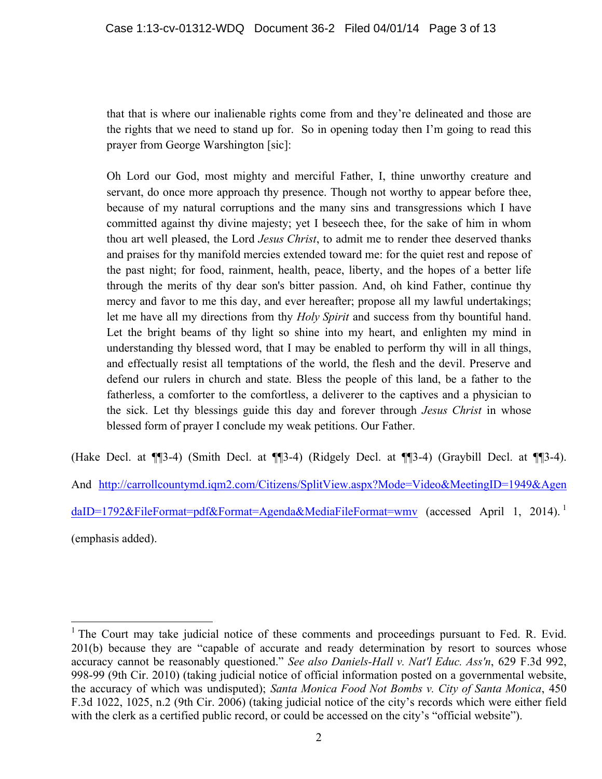that that is where our inalienable rights come from and they're delineated and those are the rights that we need to stand up for. So in opening today then I'm going to read this prayer from George Warshington [sic]:

Oh Lord our God, most mighty and merciful Father, I, thine unworthy creature and servant, do once more approach thy presence. Though not worthy to appear before thee, because of my natural corruptions and the many sins and transgressions which I have committed against thy divine majesty; yet I beseech thee, for the sake of him in whom thou art well pleased, the Lord *Jesus Christ*, to admit me to render thee deserved thanks and praises for thy manifold mercies extended toward me: for the quiet rest and repose of the past night; for food, rainment, health, peace, liberty, and the hopes of a better life through the merits of thy dear son's bitter passion. And, oh kind Father, continue thy mercy and favor to me this day, and ever hereafter; propose all my lawful undertakings; let me have all my directions from thy *Holy Spirit* and success from thy bountiful hand. Let the bright beams of thy light so shine into my heart, and enlighten my mind in understanding thy blessed word, that I may be enabled to perform thy will in all things, and effectually resist all temptations of the world, the flesh and the devil. Preserve and defend our rulers in church and state. Bless the people of this land, be a father to the fatherless, a comforter to the comfortless, a deliverer to the captives and a physician to the sick. Let thy blessings guide this day and forever through *Jesus Christ* in whose blessed form of prayer I conclude my weak petitions. Our Father.

(Hake Decl. at ¶¶3-4) (Smith Decl. at ¶¶3-4) (Ridgely Decl. at ¶¶3-4) (Graybill Decl. at ¶¶3-4). And http://carrollcountymd.iqm2.com/Citizens/SplitView.aspx?Mode=Video&MeetingID=1949&Agen daID=1792&FileFormat=pdf&Format=Agenda&MediaFileFormat=wmv (accessed April 1, 2014).<sup>1</sup> (emphasis added).

<sup>&</sup>lt;sup>1</sup> The Court may take judicial notice of these comments and proceedings pursuant to Fed. R. Evid. 201(b) because they are "capable of accurate and ready determination by resort to sources whose accuracy cannot be reasonably questioned." *See also Daniels-Hall v. Nat'l Educ. Ass'n*, 629 F.3d 992, 998-99 (9th Cir. 2010) (taking judicial notice of official information posted on a governmental website, the accuracy of which was undisputed); *Santa Monica Food Not Bombs v. City of Santa Monica*, 450 F.3d 1022, 1025, n.2 (9th Cir. 2006) (taking judicial notice of the city's records which were either field with the clerk as a certified public record, or could be accessed on the city's "official website").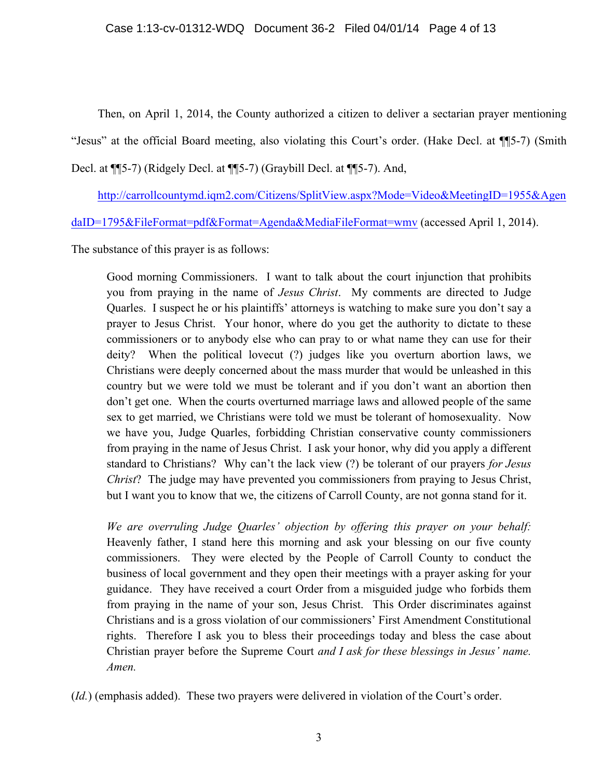Then, on April 1, 2014, the County authorized a citizen to deliver a sectarian prayer mentioning "Jesus" at the official Board meeting, also violating this Court's order. (Hake Decl. at ¶¶5-7) (Smith Decl. at ¶¶5-7) (Ridgely Decl. at ¶¶5-7) (Graybill Decl. at ¶¶5-7). And,

http://carrollcountymd.iqm2.com/Citizens/SplitView.aspx?Mode=Video&MeetingID=1955&Agen

daID=1795&FileFormat=pdf&Format=Agenda&MediaFileFormat=wmv (accessed April 1, 2014).

The substance of this prayer is as follows:

Good morning Commissioners. I want to talk about the court injunction that prohibits you from praying in the name of *Jesus Christ*. My comments are directed to Judge Quarles. I suspect he or his plaintiffs' attorneys is watching to make sure you don't say a prayer to Jesus Christ. Your honor, where do you get the authority to dictate to these commissioners or to anybody else who can pray to or what name they can use for their deity? When the political lovecut (?) judges like you overturn abortion laws, we Christians were deeply concerned about the mass murder that would be unleashed in this country but we were told we must be tolerant and if you don't want an abortion then don't get one. When the courts overturned marriage laws and allowed people of the same sex to get married, we Christians were told we must be tolerant of homosexuality. Now we have you, Judge Quarles, forbidding Christian conservative county commissioners from praying in the name of Jesus Christ. I ask your honor, why did you apply a different standard to Christians? Why can't the lack view (?) be tolerant of our prayers *for Jesus Christ*? The judge may have prevented you commissioners from praying to Jesus Christ, but I want you to know that we, the citizens of Carroll County, are not gonna stand for it.

*We are overruling Judge Quarles' objection by offering this prayer on your behalf:* Heavenly father, I stand here this morning and ask your blessing on our five county commissioners. They were elected by the People of Carroll County to conduct the business of local government and they open their meetings with a prayer asking for your guidance. They have received a court Order from a misguided judge who forbids them from praying in the name of your son, Jesus Christ. This Order discriminates against Christians and is a gross violation of our commissioners' First Amendment Constitutional rights. Therefore I ask you to bless their proceedings today and bless the case about Christian prayer before the Supreme Court *and I ask for these blessings in Jesus' name. Amen.*

(*Id.*) (emphasis added). These two prayers were delivered in violation of the Court's order.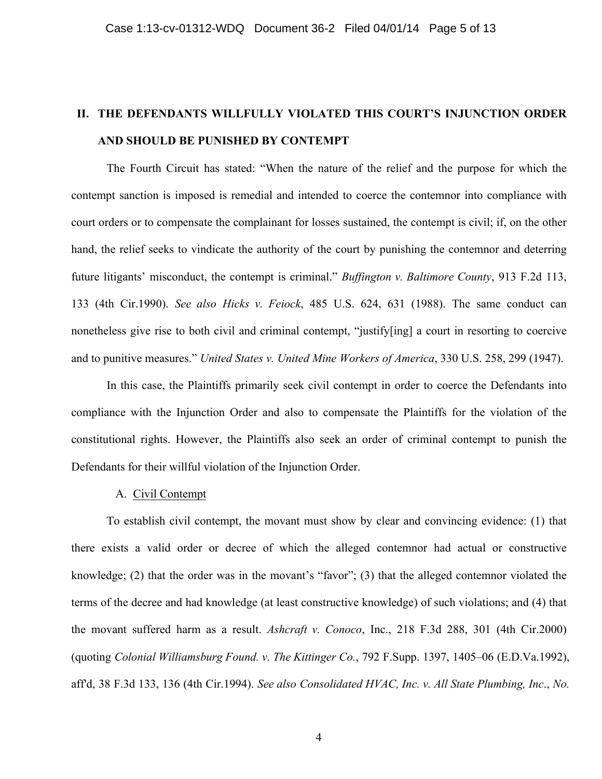## **II. THE DEFENDANTS WILLFULLY VIOLATED THIS COURT'S INJUNCTION ORDER AND SHOULD BE PUNISHED BY CONTEMPT**

The Fourth Circuit has stated: "When the nature of the relief and the purpose for which the contempt sanction is imposed is remedial and intended to coerce the contemnor into compliance with court orders or to compensate the complainant for losses sustained, the contempt is civil; if, on the other hand, the relief seeks to vindicate the authority of the court by punishing the contemnor and deterring future litigants' misconduct, the contempt is criminal." *Buffington v. Baltimore County*, 913 F.2d 113, 133 (4th Cir.1990). *See also Hicks v. Feiock*, 485 U.S. 624, 631 (1988). The same conduct can nonetheless give rise to both civil and criminal contempt, "justify[ing] a court in resorting to coercive and to punitive measures." *United States v. United Mine Workers of America*, 330 U.S. 258, 299 (1947).

In this case, the Plaintiffs primarily seek civil contempt in order to coerce the Defendants into compliance with the Injunction Order and also to compensate the Plaintiffs for the violation of the constitutional rights. However, the Plaintiffs also seek an order of criminal contempt to punish the Defendants for their willful violation of the Injunction Order.

### A. Civil Contempt

To establish civil contempt, the movant must show by clear and convincing evidence: (1) that there exists a valid order or decree of which the alleged contemnor had actual or constructive knowledge; (2) that the order was in the movant's "favor"; (3) that the alleged contemnor violated the terms of the decree and had knowledge (at least constructive knowledge) of such violations; and (4) that the movant suffered harm as a result. *Ashcraft v. Conoco*, Inc., 218 F.3d 288, 301 (4th Cir.2000) (quoting *Colonial Williamsburg Found. v. The Kittinger Co.*, 792 F.Supp. 1397, 1405–06 (E.D.Va.1992), aff'd, 38 F.3d 133, 136 (4th Cir.1994). *See also Consolidated HVAC, Inc. v. All State Plumbing, Inc*., *No.* 

4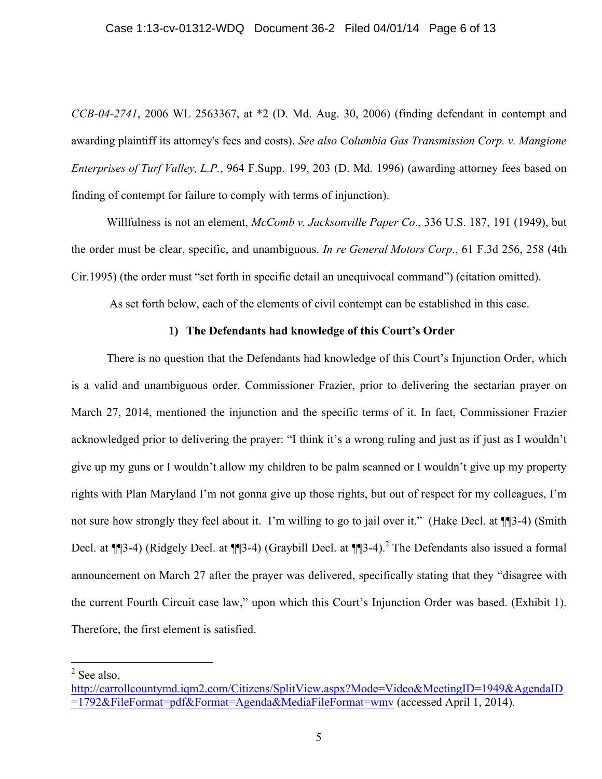#### Case 1:13-cv-01312-WDQ Document 36-2 Filed 04/01/14 Page 6 of 13

*CCB-04-2741*, 2006 WL 2563367, at \*2 (D. Md. Aug. 30, 2006) (finding defendant in contempt and awarding plaintiff its attorney's fees and costs). *See also* Co*lumbia Gas Transmission Corp. v. Mangione Enterprises of Turf Valley, L.P.*, 964 F.Supp. 199, 203 (D. Md. 1996) (awarding attorney fees based on finding of contempt for failure to comply with terms of injunction).

Willfulness is not an element, *McComb v. Jacksonville Paper Co*., 336 U.S. 187, 191 (1949), but the order must be clear, specific, and unambiguous. *In re General Motors Corp*., 61 F.3d 256, 258 (4th Cir.1995) (the order must "set forth in specific detail an unequivocal command") (citation omitted).

As set forth below, each of the elements of civil contempt can be established in this case.

### **1) The Defendants had knowledge of this Court's Order**

There is no question that the Defendants had knowledge of this Court's Injunction Order, which is a valid and unambiguous order. Commissioner Frazier, prior to delivering the sectarian prayer on March 27, 2014, mentioned the injunction and the specific terms of it. In fact, Commissioner Frazier acknowledged prior to delivering the prayer: "I think it's a wrong ruling and just as if just as I wouldn't give up my guns or I wouldn't allow my children to be palm scanned or I wouldn't give up my property rights with Plan Maryland I'm not gonna give up those rights, but out of respect for my colleagues, I'm not sure how strongly they feel about it. I'm willing to go to jail over it." (Hake Decl. at ¶¶3-4) (Smith Decl. at  $\P$ [3-4) (Ridgely Decl. at  $\P$ [3-4) (Graybill Decl. at  $\P$ [3-4).<sup>2</sup> The Defendants also issued a formal announcement on March 27 after the prayer was delivered, specifically stating that they "disagree with the current Fourth Circuit case law," upon which this Court's Injunction Order was based. (Exhibit 1). Therefore, the first element is satisfied.

 $<sup>2</sup>$  See also,</sup>

http://carrollcountymd.iqm2.com/Citizens/SplitView.aspx?Mode=Video&MeetingID=1949&AgendaID =1792&FileFormat=pdf&Format=Agenda&MediaFileFormat=wmv (accessed April 1, 2014).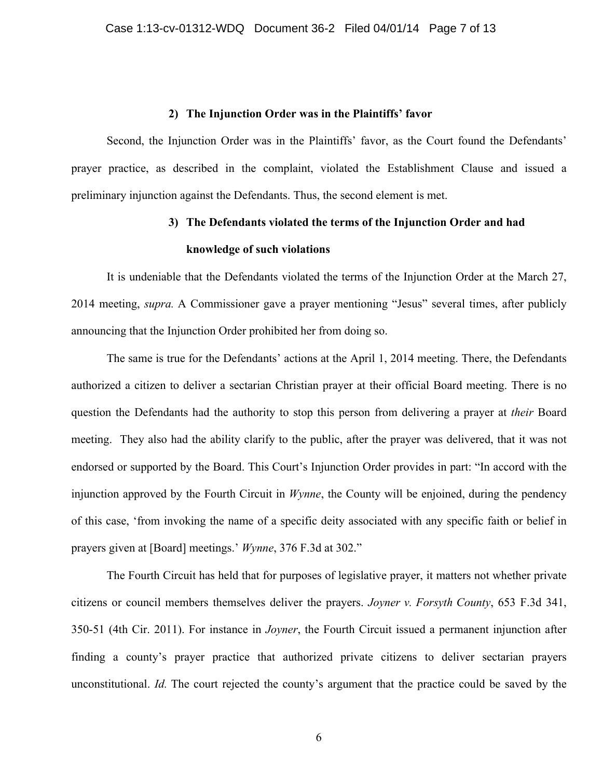#### **2) The Injunction Order was in the Plaintiffs' favor**

Second, the Injunction Order was in the Plaintiffs' favor, as the Court found the Defendants' prayer practice, as described in the complaint, violated the Establishment Clause and issued a preliminary injunction against the Defendants. Thus, the second element is met.

# **3) The Defendants violated the terms of the Injunction Order and had knowledge of such violations**

It is undeniable that the Defendants violated the terms of the Injunction Order at the March 27, 2014 meeting, *supra.* A Commissioner gave a prayer mentioning "Jesus" several times, after publicly announcing that the Injunction Order prohibited her from doing so.

The same is true for the Defendants' actions at the April 1, 2014 meeting. There, the Defendants authorized a citizen to deliver a sectarian Christian prayer at their official Board meeting. There is no question the Defendants had the authority to stop this person from delivering a prayer at *their* Board meeting. They also had the ability clarify to the public, after the prayer was delivered, that it was not endorsed or supported by the Board. This Court's Injunction Order provides in part: "In accord with the injunction approved by the Fourth Circuit in *Wynne*, the County will be enjoined, during the pendency of this case, 'from invoking the name of a specific deity associated with any specific faith or belief in prayers given at [Board] meetings.' *Wynne*, 376 F.3d at 302."

The Fourth Circuit has held that for purposes of legislative prayer, it matters not whether private citizens or council members themselves deliver the prayers. *Joyner v. Forsyth County*, 653 F.3d 341, 350-51 (4th Cir. 2011). For instance in *Joyner*, the Fourth Circuit issued a permanent injunction after finding a county's prayer practice that authorized private citizens to deliver sectarian prayers unconstitutional. *Id.* The court rejected the county's argument that the practice could be saved by the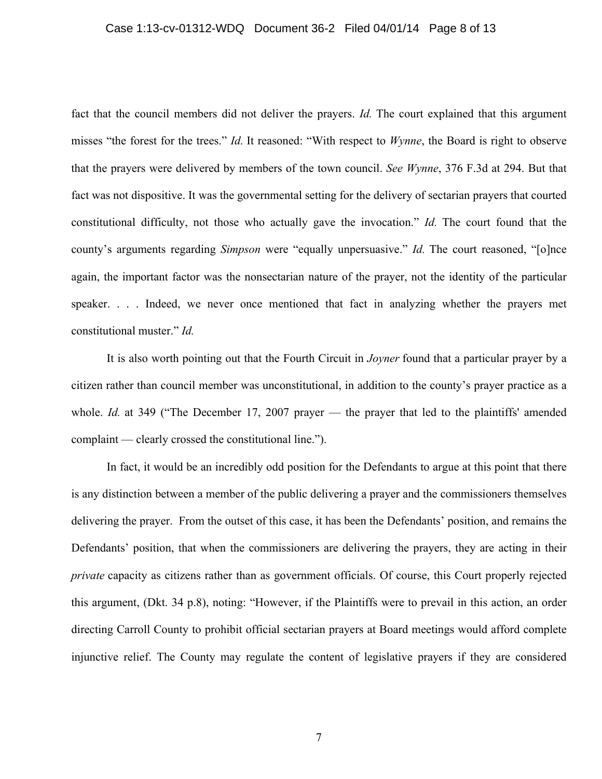#### Case 1:13-cv-01312-WDQ Document 36-2 Filed 04/01/14 Page 8 of 13

fact that the council members did not deliver the prayers. *Id*. The court explained that this argument misses "the forest for the trees." *Id.* It reasoned: "With respect to *Wynne*, the Board is right to observe that the prayers were delivered by members of the town council. *See Wynne*, 376 F.3d at 294. But that fact was not dispositive. It was the governmental setting for the delivery of sectarian prayers that courted constitutional difficulty, not those who actually gave the invocation." *Id.* The court found that the county's arguments regarding *Simpson* were "equally unpersuasive." *Id.* The court reasoned, "[o]nce again, the important factor was the nonsectarian nature of the prayer, not the identity of the particular speaker. . . . Indeed, we never once mentioned that fact in analyzing whether the prayers met constitutional muster." *Id.* 

It is also worth pointing out that the Fourth Circuit in *Joyner* found that a particular prayer by a citizen rather than council member was unconstitutional, in addition to the county's prayer practice as a whole. *Id.* at 349 ("The December 17, 2007 prayer — the prayer that led to the plaintiffs' amended complaint — clearly crossed the constitutional line.").

In fact, it would be an incredibly odd position for the Defendants to argue at this point that there is any distinction between a member of the public delivering a prayer and the commissioners themselves delivering the prayer. From the outset of this case, it has been the Defendants' position, and remains the Defendants' position, that when the commissioners are delivering the prayers, they are acting in their *private* capacity as citizens rather than as government officials. Of course, this Court properly rejected this argument, (Dkt. 34 p.8), noting: "However, if the Plaintiffs were to prevail in this action, an order directing Carroll County to prohibit official sectarian prayers at Board meetings would afford complete injunctive relief. The County may regulate the content of legislative prayers if they are considered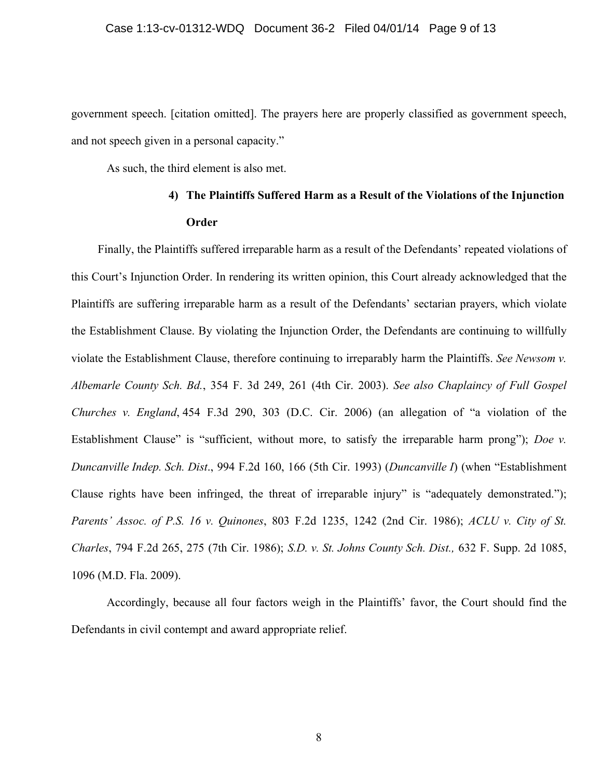government speech. [citation omitted]. The prayers here are properly classified as government speech, and not speech given in a personal capacity."

As such, the third element is also met.

## **4) The Plaintiffs Suffered Harm as a Result of the Violations of the Injunction Order**

Finally, the Plaintiffs suffered irreparable harm as a result of the Defendants' repeated violations of this Court's Injunction Order. In rendering its written opinion, this Court already acknowledged that the Plaintiffs are suffering irreparable harm as a result of the Defendants' sectarian prayers, which violate the Establishment Clause. By violating the Injunction Order, the Defendants are continuing to willfully violate the Establishment Clause, therefore continuing to irreparably harm the Plaintiffs. *See Newsom v. Albemarle County Sch. Bd.*, 354 F. 3d 249, 261 (4th Cir. 2003). *See also Chaplaincy of Full Gospel Churches v. England*, 454 F.3d 290, 303 (D.C. Cir. 2006) (an allegation of "a violation of the Establishment Clause" is "sufficient, without more, to satisfy the irreparable harm prong"); *Doe v. Duncanville Indep. Sch. Dist*., 994 F.2d 160, 166 (5th Cir. 1993) (*Duncanville I*) (when "Establishment Clause rights have been infringed, the threat of irreparable injury" is "adequately demonstrated."); *Parents' Assoc. of P.S. 16 v. Quinones*, 803 F.2d 1235, 1242 (2nd Cir. 1986); *ACLU v. City of St. Charles*, 794 F.2d 265, 275 (7th Cir. 1986); *S.D. v. St. Johns County Sch. Dist.,* 632 F. Supp. 2d 1085, 1096 (M.D. Fla. 2009).

Accordingly, because all four factors weigh in the Plaintiffs' favor, the Court should find the Defendants in civil contempt and award appropriate relief.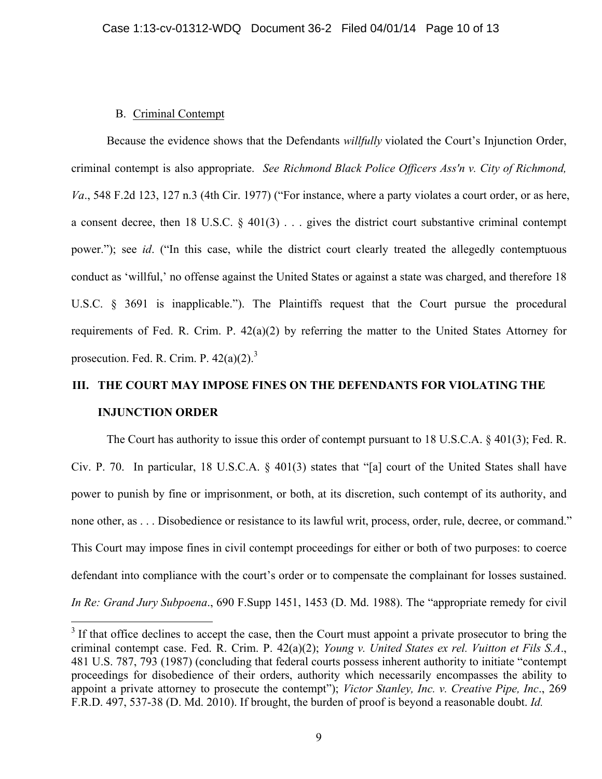#### B. Criminal Contempt

Because the evidence shows that the Defendants *willfully* violated the Court's Injunction Order, criminal contempt is also appropriate. *See Richmond Black Police Officers Ass'n v. City of Richmond, Va*., 548 F.2d 123, 127 n.3 (4th Cir. 1977) ("For instance, where a party violates a court order, or as here, a consent decree, then 18 U.S.C. § 401(3) . . . gives the district court substantive criminal contempt power."); see *id*. ("In this case, while the district court clearly treated the allegedly contemptuous conduct as 'willful,' no offense against the United States or against a state was charged, and therefore 18 U.S.C. § 3691 is inapplicable."). The Plaintiffs request that the Court pursue the procedural requirements of Fed. R. Crim. P. 42(a)(2) by referring the matter to the United States Attorney for prosecution. Fed. R. Crim. P.  $42(a)(2)^3$ .

# **III. THE COURT MAY IMPOSE FINES ON THE DEFENDANTS FOR VIOLATING THE INJUNCTION ORDER**

The Court has authority to issue this order of contempt pursuant to 18 U.S.C.A. § 401(3); Fed. R. Civ. P. 70. In particular, 18 U.S.C.A. § 401(3) states that "[a] court of the United States shall have power to punish by fine or imprisonment, or both, at its discretion, such contempt of its authority, and none other, as . . . Disobedience or resistance to its lawful writ, process, order, rule, decree, or command." This Court may impose fines in civil contempt proceedings for either or both of two purposes: to coerce defendant into compliance with the court's order or to compensate the complainant for losses sustained. *In Re: Grand Jury Subpoena*., 690 F.Supp 1451, 1453 (D. Md. 1988). The "appropriate remedy for civil

 $3$  If that office declines to accept the case, then the Court must appoint a private prosecutor to bring the criminal contempt case. Fed. R. Crim. P. 42(a)(2); *Young v. United States ex rel. Vuitton et Fils S.A*., 481 U.S. 787, 793 (1987) (concluding that federal courts possess inherent authority to initiate "contempt proceedings for disobedience of their orders, authority which necessarily encompasses the ability to appoint a private attorney to prosecute the contempt"); *Victor Stanley, Inc. v. Creative Pipe, Inc*., 269 F.R.D. 497, 537-38 (D. Md. 2010). If brought, the burden of proof is beyond a reasonable doubt. *Id.*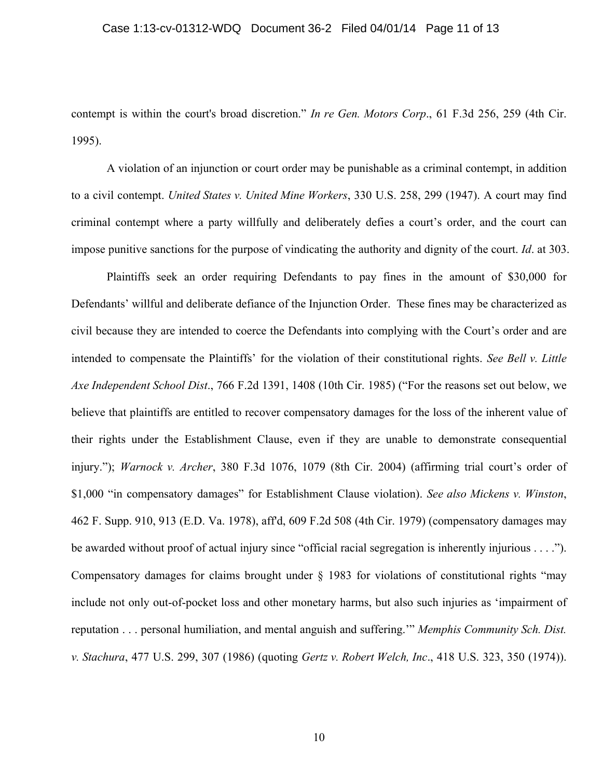#### Case 1:13-cv-01312-WDQ Document 36-2 Filed 04/01/14 Page 11 of 13

contempt is within the court's broad discretion." *In re Gen. Motors Corp*., 61 F.3d 256, 259 (4th Cir. 1995).

A violation of an injunction or court order may be punishable as a criminal contempt, in addition to a civil contempt. *United States v. United Mine Workers*, 330 U.S. 258, 299 (1947). A court may find criminal contempt where a party willfully and deliberately defies a court's order, and the court can impose punitive sanctions for the purpose of vindicating the authority and dignity of the court. *Id*. at 303.

Plaintiffs seek an order requiring Defendants to pay fines in the amount of \$30,000 for Defendants' willful and deliberate defiance of the Injunction Order. These fines may be characterized as civil because they are intended to coerce the Defendants into complying with the Court's order and are intended to compensate the Plaintiffs' for the violation of their constitutional rights. *See Bell v. Little Axe Independent School Dist*., 766 F.2d 1391, 1408 (10th Cir. 1985) ("For the reasons set out below, we believe that plaintiffs are entitled to recover compensatory damages for the loss of the inherent value of their rights under the Establishment Clause, even if they are unable to demonstrate consequential injury."); *Warnock v. Archer*, 380 F.3d 1076, 1079 (8th Cir. 2004) (affirming trial court's order of \$1,000 "in compensatory damages" for Establishment Clause violation). *See also Mickens v. Winston*, 462 F. Supp. 910, 913 (E.D. Va. 1978), aff'd, 609 F.2d 508 (4th Cir. 1979) (compensatory damages may be awarded without proof of actual injury since "official racial segregation is inherently injurious . . . ."). Compensatory damages for claims brought under § 1983 for violations of constitutional rights "may include not only out-of-pocket loss and other monetary harms, but also such injuries as 'impairment of reputation . . . personal humiliation, and mental anguish and suffering.'" *Memphis Community Sch. Dist. v. Stachura*, 477 U.S. 299, 307 (1986) (quoting *Gertz v. Robert Welch, Inc*., 418 U.S. 323, 350 (1974)).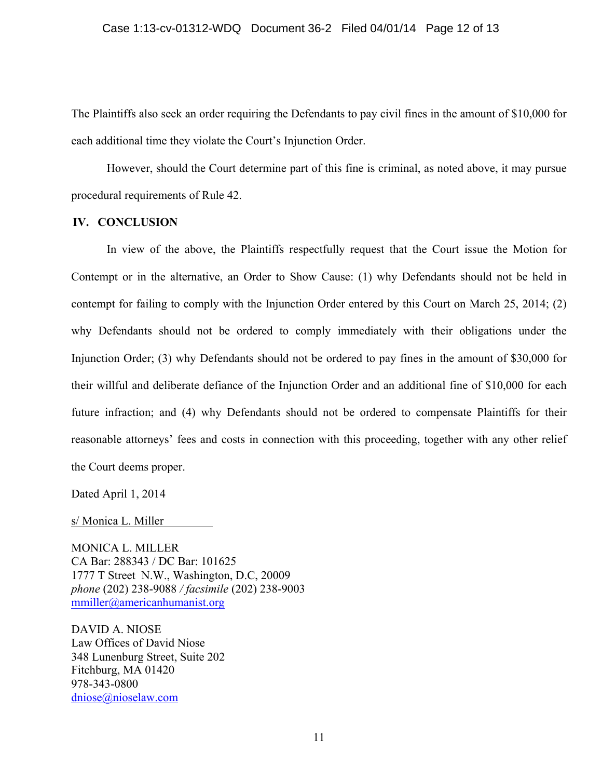The Plaintiffs also seek an order requiring the Defendants to pay civil fines in the amount of \$10,000 for each additional time they violate the Court's Injunction Order.

However, should the Court determine part of this fine is criminal, as noted above, it may pursue procedural requirements of Rule 42.

#### **IV. CONCLUSION**

In view of the above, the Plaintiffs respectfully request that the Court issue the Motion for Contempt or in the alternative, an Order to Show Cause: (1) why Defendants should not be held in contempt for failing to comply with the Injunction Order entered by this Court on March 25, 2014; (2) why Defendants should not be ordered to comply immediately with their obligations under the Injunction Order; (3) why Defendants should not be ordered to pay fines in the amount of \$30,000 for their willful and deliberate defiance of the Injunction Order and an additional fine of \$10,000 for each future infraction; and (4) why Defendants should not be ordered to compensate Plaintiffs for their reasonable attorneys' fees and costs in connection with this proceeding, together with any other relief the Court deems proper.

Dated April 1, 2014

s/ Monica L. Miller

MONICA L. MILLER CA Bar: 288343 / DC Bar: 101625 1777 T Street N.W., Washington, D.C, 20009 *phone* (202) 238-9088 */ facsimile* (202) 238-9003 mmiller@americanhumanist.org

DAVID A. NIOSE Law Offices of David Niose 348 Lunenburg Street, Suite 202 Fitchburg, MA 01420 978-343-0800 dniose@nioselaw.com